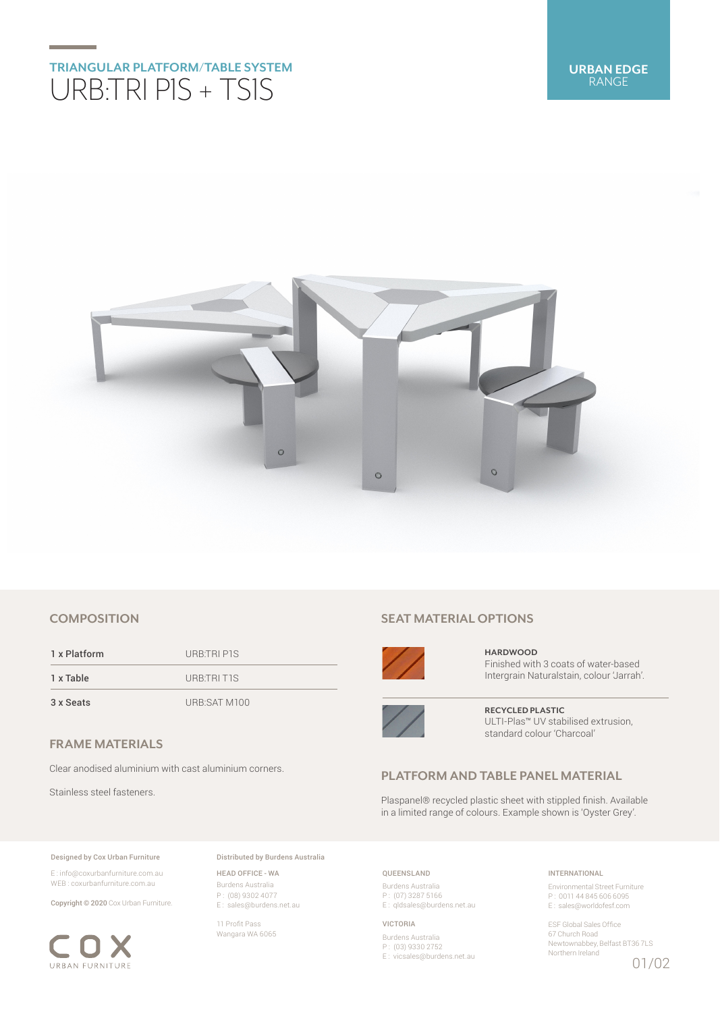# **TRIANGULAR PLATFORM/TABLE SYSTEM** URB:TRI P1S + TS1S



# **COMPOSITION**

1 x Platform URB:TRI P1S 1 x Table URB:TRI T1S 3 x Seats URB:SAT M100

**FRAME MATERIALS**

Clear anodised aluminium with cast aluminium corners.

Stainless steel fasteners.

## Designed by Cox Urban Furniture

E : info@coxurbanfurniture.com.au WEB : coxurbanfurniture.com.au

Copyright © 2020 Cox Urban Furniture.



Distributed by Burdens Australia

HEAD OFFICE - WA Burdens Australia P : (08) 9302 4077 E : sales@burdens.net.au

11 Profit Pass Wangara WA 6065

# **SEAT MATERIAL OPTIONS**



**HARDWOOD** Finished with 3 coats of water-based Intergrain Naturalstain, colour 'Jarrah'.



**RECYCLED PLASTIC** ULTI-Plas™ UV stabilised extrusion, standard colour 'Charcoal'

# **PLATFORM AND TABLE PANEL MATERIAL**

Plaspanel® recycled plastic sheet with stippled finish. Available in a limited range of colours. Example shown is 'Oyster Grey'.

## QUEENSLAND

Burdens Australia P : (07) 3287 5166 E : qldsales@burdens.net.au

#### VICTORIA

Burdens Australia P : (03) 9330 2752 E : vicsales@burdens.net.au

## INTERNATIONAL

Environmental Street Furniture P : 0011 44 845 606 6095 E : sales@worldofesf.com

ESF Global Sales Office 67 Church Road Newtownabbey, Belfast BT36 7LS Northern Ireland 01/02